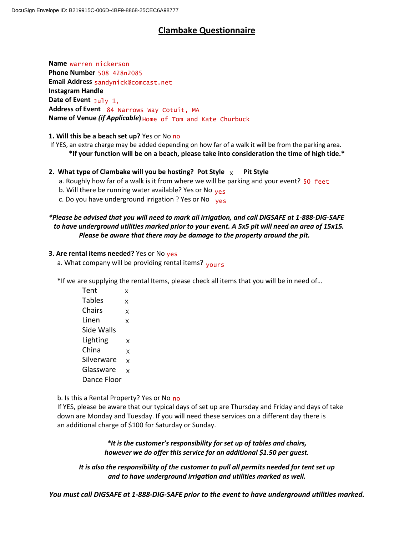# **Clambake Questionnaire**

**Name** warren nickerson **Phone Number** 508 428n2085 **Email Address** sandynick@comcast.net **Instagram Handle Date of Event** July 1, **Address of Event** 84 Narrows Way Cotuit, MA **Name of Venue** *(if Applicable***)**  Home of Tom and Kate Churbuck

## **1. Will this be a beach set up?** Yes or No no

If YES, an extra charge may be added depending on how far of a walk it will be from the parking area. **\*If your function will be on a beach, please take into consideration the time of high tide.\***

# **2. What type of Clambake will you be hosting? Pot Style**  $\chi$  **Pit Style**

- a. Roughly how far of a walk is it from where we will be parking and your event? 50 feet
- b. Will there be running water available? Yes or No <sub>yes</sub>
- c. Do you have underground irrigation ? Yes or No yes

# *\*Please be advised that you will need to mark all irrigation, and call DIGSAFE at 1-888-DIG-SAFE to have underground utilities marked prior to your event. A 5x5 pit will need an area of 15x15. Please be aware that there may be damage to the property around the pit.*

#### **3. Are rental items needed?** Yes or No yes

a. What company will be providing rental items? <sub>yours</sub>

 **\***If we are supplying the rental Items, please check all items that you will be in need of…

| Tent        | x            |
|-------------|--------------|
| Tables      | X            |
| Chairs      | X            |
| Linen       | x            |
| Side Walls  |              |
| Lighting    | x            |
| China       | $\mathsf{x}$ |
| Silverware  | X            |
| Glassware   | $\mathsf{x}$ |
| Dance Floor |              |

#### b. Is this a Rental Property? Yes or No no

 If YES, please be aware that our typical days of set up are Thursday and Friday and days of take down are Monday and Tuesday. If you will need these services on a different day there is an additional charge of \$100 for Saturday or Sunday.

> *\*It is the customer's responsibility for set up of tables and chairs, however we do offer this service for an additional \$1.50 per guest.*

*It is also the responsibility of the customer to pull all permits needed for tent set up and to have underground irrigation and utilities marked as well.*

*You must call DIGSAFE at 1-888-DIG-SAFE prior to the event to have underground utilities marked.*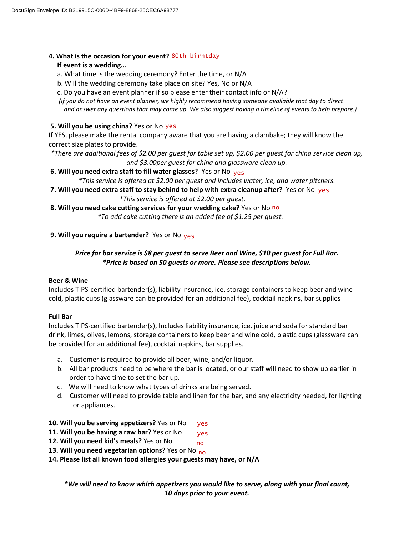# **4. What is the occasion for your event?** 80th birhtday

### **If event is a wedding…**

- a. What time is the wedding ceremony? Enter the time, or N/A
- b. Will the wedding ceremony take place on site? Yes, No or N/A
- c. Do you have an event planner if so please enter their contact info or N/A?

 *(If you do not have an event planner, we highly recommend having someone available that day to direct and answer any questions that may come up. We also suggest having a timeline of events to help prepare.)*

### **5. Will you be using china?** Yes or No yes

If YES, please make the rental company aware that you are having a clambake; they will know the correct size plates to provide.

*\*There are additional fees of \$2.00 per guest for table set up, \$2.00 per guest for china service clean up, and \$3.00per guest for china and glassware clean up.*

## **6. Will you need extra staff to fill water glasses?** Yes or No yes

*\*This service is offered at \$2.00 per guest and includes water, ice, and water pitchers.*

- **7. Will you need extra staff to stay behind to help with extra cleanup after?** Yes or No yes  *\*This service is offered at \$2.00 per guest.*
- **8. Will you need cake cutting services for your wedding cake?** Yes or No no

 *\*To add cake cutting there is an added fee of \$1.25 per guest.*

# **9. Will you require a bartender?** Yes or No <sub>yes</sub>

# *Price for bar service is \$8 per guest to serve Beer and Wine, \$10 per guest for Full Bar. \*Price is based on 50 guests or more. Please see descriptions below.*

#### **Beer & Wine**

Includes TIPS-certified bartender(s), liability insurance, ice, storage containers to keep beer and wine cold, plastic cups (glassware can be provided for an additional fee), cocktail napkins, bar supplies

#### **Full Bar**

Includes TIPS-certified bartender(s), Includes liability insurance, ice, juice and soda for standard bar drink, limes, olives, lemons, storage containers to keep beer and wine cold, plastic cups (glassware can be provided for an additional fee), cocktail napkins, bar supplies.

- a. Customer is required to provide all beer, wine, and/or liquor.
- b. All bar products need to be where the bar is located, or our staff will need to show up earlier in order to have time to set the bar up.
- c.We will need to know what types of drinks are being served.
- d. Customer will need to provide table and linen for the bar, and any electricity needed, for lighting or appliances.
- **10. Will you be serving appetizers?** Yes or No yes
- **11. Will you be having a raw bar?** Yes or No yes
- **12. Will you need kid's meals?** Yes or No no
- **13. Will you need vegetarian options?** Yes or No no
- **14. Please list all known food allergies your guests may have, or N/A**

*\*We will need to know which appetizers you would like to serve, along with your final count, 10 days prior to your event.*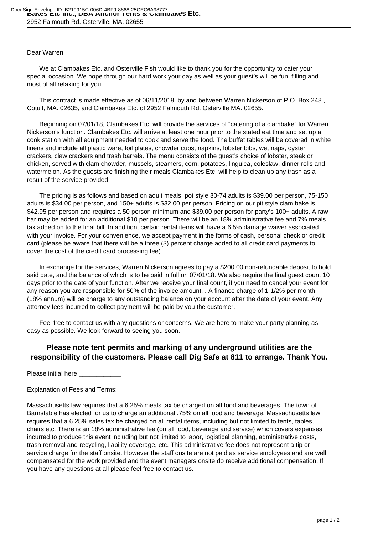## Dear Warren,

 We at Clambakes Etc. and Osterville Fish would like to thank you for the opportunity to cater your special occasion. We hope through our hard work your day as well as your guest's will be fun, filling and most of all relaxing for you.

 This contract is made effective as of 06/11/2018, by and between Warren Nickerson of P.O. Box 248 , Cotuit, MA. 02635, and Clambakes Etc. of 2952 Falmouth Rd. Osterville MA. 02655.

 Beginning on 07/01/18, Clambakes Etc. will provide the services of "catering of a clambake" for Warren Nickerson's function. Clambakes Etc. will arrive at least one hour prior to the stated eat time and set up a cook station with all equipment needed to cook and serve the food. The buffet tables will be covered in white linens and include all plastic ware, foil plates, chowder cups, napkins, lobster bibs, wet naps, oyster crackers, claw crackers and trash barrels. The menu consists of the guest's choice of lobster, steak or chicken, served with clam chowder, mussels, steamers, corn, potatoes, linguica, coleslaw, dinner rolls and watermelon. As the guests are finishing their meals Clambakes Etc. will help to clean up any trash as a result of the service provided.

 The pricing is as follows and based on adult meals: pot style 30-74 adults is \$39.00 per person, 75-150 adults is \$34.00 per person, and 150+ adults is \$32.00 per person. Pricing on our pit style clam bake is \$42.95 per person and requires a 50 person minimum and \$39.00 per person for party's 100+ adults. A raw bar may be added for an additional \$10 per person. There will be an 18% administrative fee and 7% meals tax added on to the final bill. In addition, certain rental items will have a 6.5% damage waiver associated with your invoice. For your convenience, we accept payment in the forms of cash, personal check or credit card (please be aware that there will be a three (3) percent charge added to all credit card payments to cover the cost of the credit card processing fee)

 In exchange for the services, Warren Nickerson agrees to pay a \$200.00 non-refundable deposit to hold said date, and the balance of which is to be paid in full on 07/01/18. We also require the final guest count 10 days prior to the date of your function. After we receive your final count, if you need to cancel your event for any reason you are responsible for 50% of the invoice amount. . A finance charge of 1-1/2% per month (18% annum) will be charge to any outstanding balance on your account after the date of your event. Any attorney fees incurred to collect payment will be paid by you the customer.

 Feel free to contact us with any questions or concerns. We are here to make your party planning as easy as possible. We look forward to seeing you soon.

# **Please note tent permits and marking of any underground utilities are the responsibility of the customers. Please call Dig Safe at 811 to arrange. Thank You.**

Please initial here

#### Explanation of Fees and Terms:

Massachusetts law requires that a 6.25% meals tax be charged on all food and beverages. The town of Barnstable has elected for us to charge an additional .75% on all food and beverage. Massachusetts law requires that a 6.25% sales tax be charged on all rental items, including but not limited to tents, tables, chairs etc. There is an 18% administrative fee (on all food, beverage and service) which covers expenses incurred to produce this event including but not limited to labor, logistical planning, administrative costs, trash removal and recycling, liability coverage, etc. This administrative fee does not represent a tip or service charge for the staff onsite. However the staff onsite are not paid as service employees and are well compensated for the work provided and the event managers onsite do receive additional compensation. If you have any questions at all please feel free to contact us.